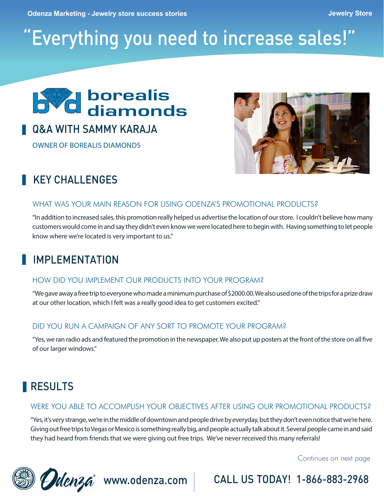**Odenza Marketing - Jewelry store success stories Jewelry Store**

# "Everything you need to increase sales!"



# Q&A WITH SAMMY KARAJA

OWNER OF BOREALIS DIAMONDS



# KEY CHALL FNGES

#### WHAT WAS YOUR MAIN REASON FOR USING ODENZA'S PROMOTIONAL PRODUCTS?

"In addition to increased sales, this promotion really helped us advertise the location of our store. I couldn't believe how many customers would come in and say they didn't even know we were located here to begin with. Having something to let people know where we're located is very important to us."

# IMPLEMENTATION

#### HOW DID YOU IMPLEMENT OUR PRODUCTS INTO YOUR PROGRAM?

"We gave away a free trip to everyone who made a minimum purchase of \$2000.00. We also used one of the trips for a prize draw at our other location, which I felt was a really good idea to get customers excited."

#### DID YOU RUN A CAMPAIGN OF ANY SORT TO PROMOTE YOUR PROGRAM?

"Yes, we ran radio ads and featured the promotion in the newspaper. We also put up posters at the front of the store on all five of our larger windows."

# **RESULTS**

### WERE YOU ABLE TO ACCOMPLISH YOUR OBJECTIVES AFTER USING OUR PROMOTIONAL PRODUCTS?

"Yes, it's very strange, we're in the middle of downtown and people drive by everyday, but they don't even notice that we're here. Giving out free trips to Vegas or Mexico is something really big, and people actually talk about it. Several people came in and said they had heard from friends that we were giving out free trips. We've never received this many referrals!

Continues on next page